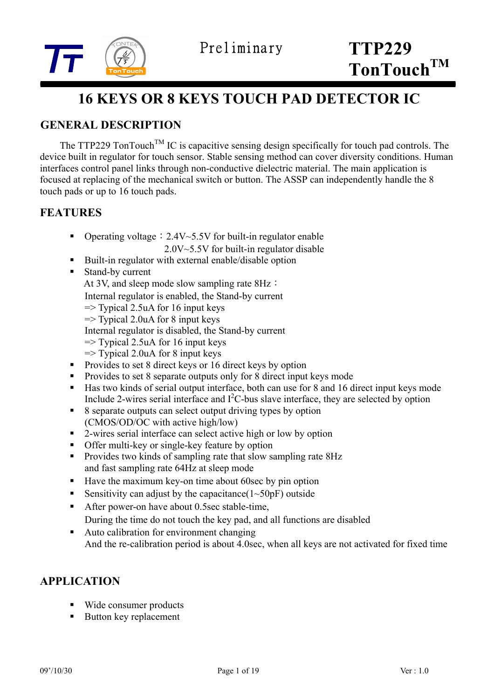



# **16 KEYS OR 8 KEYS TOUCH PAD DETECTOR IC**

# **GENERAL DESCRIPTION**

The TTP229 TonTouch<sup>TM</sup> IC is capacitive sensing design specifically for touch pad controls. The device built in regulator for touch sensor. Stable sensing method can cover diversity conditions. Human interfaces control panel links through non-conductive dielectric material. The main application is focused at replacing of the mechanical switch or button. The ASSP can independently handle the 8 touch pads or up to 16 touch pads.

# **FEATURES**

- Operating voltage:  $2.4V~5.5V$  for built-in regulator enable 2.0V~5.5V for built-in regulator disable
- Built-in regulator with external enable/disable option
- Stand-by current At 3V, and sleep mode slow sampling rate 8Hz: Internal regulator is enabled, the Stand-by current  $\Rightarrow$  Typical 2.5uA for 16 input keys  $\Rightarrow$  Typical 2.0uA for 8 input keys Internal regulator is disabled, the Stand-by current  $\Rightarrow$  Typical 2.5uA for 16 input keys  $\Rightarrow$  Typical 2.0uA for 8 input keys
- Provides to set 8 direct keys or 16 direct keys by option
- Provides to set 8 separate outputs only for 8 direct input keys mode
- Has two kinds of serial output interface, both can use for 8 and 16 direct input keys mode Include 2-wires serial interface and  $I^2C$ -bus slave interface, they are selected by option
- 8 separate outputs can select output driving types by option (CMOS/OD/OC with active high/low)
- 2-wires serial interface can select active high or low by option
- Offer multi-key or single-key feature by option
- Provides two kinds of sampling rate that slow sampling rate 8Hz and fast sampling rate 64Hz at sleep mode
- Have the maximum key-on time about 60sec by pin option
- Sensitivity can adjust by the capacitance  $(1~50pF)$  outside
- After power-on have about 0.5sec stable-time, During the time do not touch the key pad, and all functions are disabled
- Auto calibration for environment changing And the re-calibration period is about 4.0sec, when all keys are not activated for fixed time

## **APPLICATION**

- Wide consumer products
- Button key replacement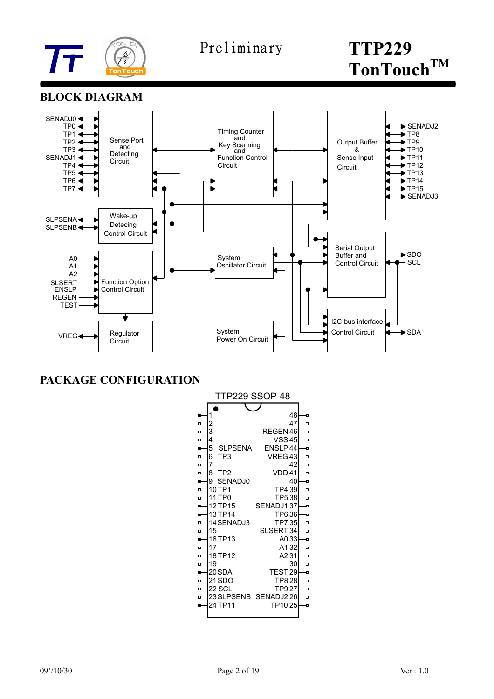

## **BLOCK DIAGRAM**



**PACKAGE CONFIGURATION**

| TTP229 SSOP-48 |                      |                     |   |  |  |  |  |  |
|----------------|----------------------|---------------------|---|--|--|--|--|--|
|                |                      |                     |   |  |  |  |  |  |
| ſ,             | 1                    | 48                  | Ð |  |  |  |  |  |
| G              | 2                    | 47                  | Ð |  |  |  |  |  |
| G              | 3                    | REGEN 46            | Ð |  |  |  |  |  |
| G              | 4                    | <b>VSS45</b>        | Ð |  |  |  |  |  |
| G              | 5<br><b>SLPSENA</b>  | ENSLP44             | Ð |  |  |  |  |  |
| G              | TP <sub>3</sub><br>6 | VREG43              | Đ |  |  |  |  |  |
| G              | 7                    | 42                  | Ð |  |  |  |  |  |
| G              | 8<br>TP <sub>2</sub> | VDD 41              | Ð |  |  |  |  |  |
| G              | 9<br>SENADJ0         | 40                  | Đ |  |  |  |  |  |
| G              | 10 TP1               | TP4 39              | Ð |  |  |  |  |  |
| G              | 11 TP0               | <b>TP538</b>        | Ð |  |  |  |  |  |
| o              | 12 TP15              | SENADJ137           | Ð |  |  |  |  |  |
| G              | 13 TP14              | TP636               | Ð |  |  |  |  |  |
| G              | 14 SENADJ3           | TP735               | Đ |  |  |  |  |  |
| G-             | 15                   | SLSERT 34           | Ð |  |  |  |  |  |
| G              | 16 TP13              | A033                | Ð |  |  |  |  |  |
| G-             | 17                   | A132                | Ð |  |  |  |  |  |
| G              | 18 TP12              | A231                | Ð |  |  |  |  |  |
| G.             | 19                   | 30                  | Ð |  |  |  |  |  |
| G              | 20 SDA               | TEST <sub>29</sub>  | Ð |  |  |  |  |  |
| G              | 21 SDO               | TP8 28              | Ð |  |  |  |  |  |
| G              | 22 SCL               | TP9 27              | Ð |  |  |  |  |  |
| G              |                      | 23SLPSENB SENADJ226 | Ð |  |  |  |  |  |
| Ġ              | 24 TP11              | TP1025              | Ð |  |  |  |  |  |
|                |                      |                     |   |  |  |  |  |  |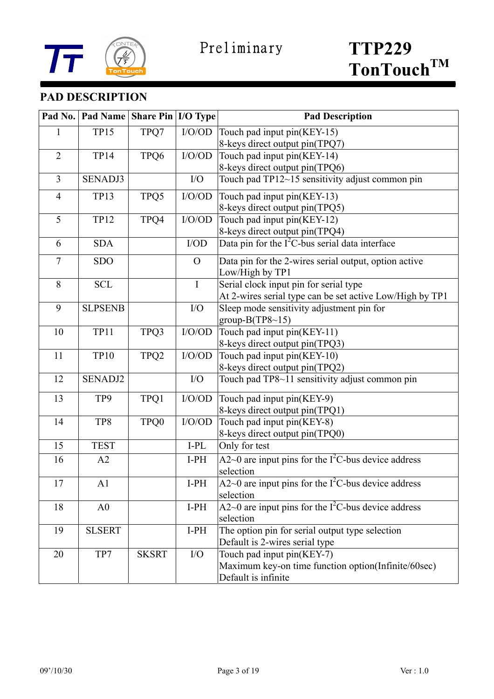

# **PAD DESCRIPTION**

| Pad No.        | Pad Name Share Pin   I/O Type |                  |              | <b>Pad Description</b>                                   |  |  |
|----------------|-------------------------------|------------------|--------------|----------------------------------------------------------|--|--|
| 1              | <b>TP15</b>                   | TPQ7             | I/O/OD       | Touch pad input pin(KEY-15)                              |  |  |
|                |                               |                  |              | 8-keys direct output pin(TPQ7)                           |  |  |
| $\overline{2}$ | <b>TP14</b>                   | TPQ6             | $\rm I/O/OD$ | Touch pad input pin(KEY-14)                              |  |  |
|                |                               |                  |              | 8-keys direct output pin(TPQ6)                           |  |  |
| $\overline{3}$ | <b>SENADJ3</b>                |                  | I/O          | Touch pad TP12~15 sensitivity adjust common pin          |  |  |
| $\overline{4}$ | <b>TP13</b>                   | TPQ5             | I/O/OD       | Touch pad input pin(KEY-13)                              |  |  |
|                |                               |                  |              | 8-keys direct output pin(TPQ5)                           |  |  |
| 5              | <b>TP12</b>                   | TPQ4             | $\rm I/O/OD$ | Touch pad input pin(KEY-12)                              |  |  |
|                |                               |                  |              | 8-keys direct output pin(TPQ4)                           |  |  |
| 6              | <b>SDA</b>                    |                  | $\rm I/OD$   | Data pin for the $I^2C$ -bus serial data interface       |  |  |
| $\tau$         | <b>SDO</b>                    |                  | $\Omega$     | Data pin for the 2-wires serial output, option active    |  |  |
|                |                               |                  |              | Low/High by TP1                                          |  |  |
| 8              | <b>SCL</b>                    |                  | I            | Serial clock input pin for serial type                   |  |  |
|                |                               |                  |              | At 2-wires serial type can be set active Low/High by TP1 |  |  |
| 9              | <b>SLPSENB</b>                |                  | I/O          | Sleep mode sensitivity adjustment pin for                |  |  |
|                |                               |                  |              | group-B(TP8~15)                                          |  |  |
| 10             | <b>TP11</b>                   | TPQ3             | I/O/OD       | Touch pad input pin(KEY-11)                              |  |  |
|                |                               |                  |              | 8-keys direct output pin(TPQ3)                           |  |  |
| 11             | <b>TP10</b>                   | TPQ <sub>2</sub> | I/O/OD       | Touch pad input pin(KEY-10)                              |  |  |
|                |                               |                  |              | 8-keys direct output pin(TPQ2)                           |  |  |
| 12             | <b>SENADJ2</b>                |                  | I/O          | Touch pad TP8~11 sensitivity adjust common pin           |  |  |
| 13             | TP9                           | TPQ1             | I/O/OD       | Touch pad input pin(KEY-9)                               |  |  |
|                |                               |                  |              | 8-keys direct output pin(TPQ1)                           |  |  |
| 14             | TP8                           | TPQ0             | I/O/OD       | Touch pad input pin(KEY-8)                               |  |  |
|                |                               |                  |              | 8-keys direct output pin(TPQ0)                           |  |  |
| 15             | <b>TEST</b>                   |                  | I-PL         | Only for test                                            |  |  |
| 16             | A2                            |                  | $I-PH$       | A2~0 are input pins for the $I2C$ -bus device address    |  |  |
|                |                               |                  |              | selection                                                |  |  |
| 17             | A1                            |                  | $I-PH$       | $A2~0$ are input pins for the $I2C$ -bus device address  |  |  |
|                |                               |                  |              | selection                                                |  |  |
| 18             | A <sub>0</sub>                |                  | $I-PH$       | A2~0 are input pins for the $I^2C$ -bus device address   |  |  |
|                |                               |                  |              | selection                                                |  |  |
| 19             | <b>SLSERT</b>                 |                  | $I-PH$       | The option pin for serial output type selection          |  |  |
|                |                               |                  |              | Default is 2-wires serial type                           |  |  |
| 20             | TP7                           | <b>SKSRT</b>     | I/O          | Touch pad input pin(KEY-7)                               |  |  |
|                |                               |                  |              | Maximum key-on time function option(Infinite/60sec)      |  |  |
|                |                               |                  |              | Default is infinite                                      |  |  |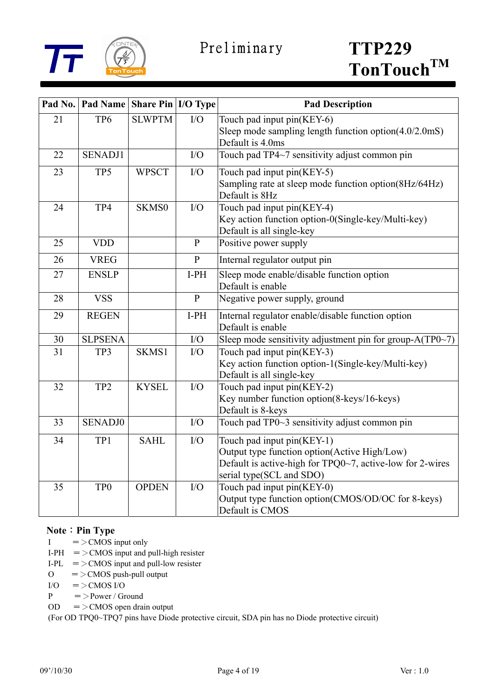

| Pad No. | <b>Pad Name Share Pin I/O Type</b> |               |              | <b>Pad Description</b>                                    |
|---------|------------------------------------|---------------|--------------|-----------------------------------------------------------|
| 21      | TP <sub>6</sub>                    | <b>SLWPTM</b> | ${\rm I/O}$  | Touch pad input pin(KEY-6)                                |
|         |                                    |               |              | Sleep mode sampling length function option $(4.0/2.0$ mS) |
|         |                                    |               |              | Default is 4.0ms                                          |
| 22      | <b>SENADJ1</b>                     |               | I/O          | Touch pad TP4~7 sensitivity adjust common pin             |
| 23      | TP5                                | <b>WPSCT</b>  | I/O          | Touch pad input pin(KEY-5)                                |
|         |                                    |               |              | Sampling rate at sleep mode function option(8Hz/64Hz)     |
|         |                                    |               |              | Default is 8Hz                                            |
| 24      | TP4                                | SKMS0         | I/O          | Touch pad input $pin(\overline{\text{KEY-4}})$            |
|         |                                    |               |              | Key action function option-0(Single-key/Multi-key)        |
|         |                                    |               |              | Default is all single-key                                 |
| 25      | <b>VDD</b>                         |               | ${\bf P}$    | Positive power supply                                     |
| 26      | <b>VREG</b>                        |               | ${\bf P}$    | Internal regulator output pin                             |
| 27      | <b>ENSLP</b>                       |               | $I-PH$       | Sleep mode enable/disable function option                 |
|         |                                    |               |              | Default is enable                                         |
| 28      | <b>VSS</b>                         |               | $\, {\bf P}$ | Negative power supply, ground                             |
| 29      | <b>REGEN</b>                       |               | $I-PH$       | Internal regulator enable/disable function option         |
|         |                                    |               |              | Default is enable                                         |
| 30      | <b>SLPSENA</b>                     |               | I/O          | Sleep mode sensitivity adjustment pin for group-A(TP0~7)  |
| 31      | TP3                                | SKMS1         | I/O          | Touch pad input pin(KEY-3)                                |
|         |                                    |               |              | Key action function option-1(Single-key/Multi-key)        |
|         |                                    |               |              | Default is all single-key                                 |
| 32      | TP <sub>2</sub>                    | <b>KYSEL</b>  | I/O          | Touch pad input pin(KEY-2)                                |
|         |                                    |               |              | Key number function option(8-keys/16-keys)                |
|         |                                    |               |              | Default is 8-keys                                         |
| 33      | <b>SENADJ0</b>                     |               | I/O          | Touch pad TP0~3 sensitivity adjust common pin             |
| 34      | TP1                                | <b>SAHL</b>   | I/O          | Touch pad input pin(KEY-1)                                |
|         |                                    |               |              | Output type function option(Active High/Low)              |
|         |                                    |               |              | Default is active-high for TPQ0~7, active-low for 2-wires |
|         |                                    |               |              | serial type(SCL and SDO)                                  |
| 35      | TP <sub>0</sub>                    | <b>OPDEN</b>  | I/O          | Touch pad input pin(KEY-0)                                |
|         |                                    |               |              | Output type function option(CMOS/OD/OC for 8-keys)        |
|         |                                    |               |              | Default is CMOS                                           |

#### **Note**: Pin Type

- $I = >$ CMOS input only
- I-PH  $=$  > CMOS input and pull-high resister
- I-PL  $=$  > CMOS input and pull-low resister
- $O =$  > CMOS push-pull output
- $I/O = >CMOS I/O$
- $P = > Power / Ground$
- $OD = >CMOS$  open drain output

(For OD TPQ0~TPQ7 pins have Diode protective circuit, SDA pin has no Diode protective circuit)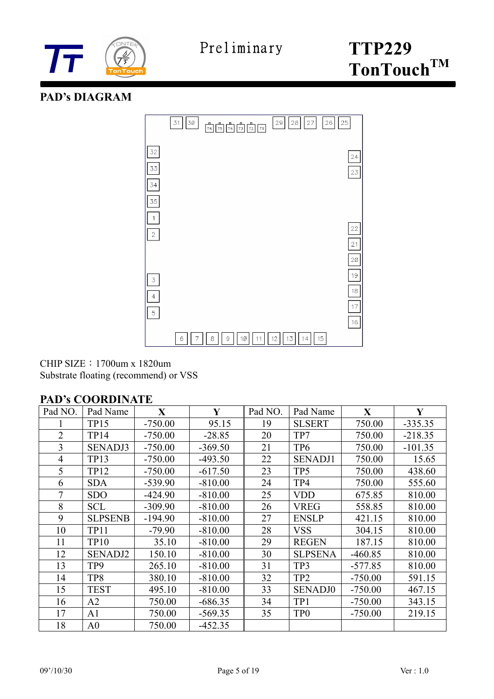

## **PAD's DIAGRAM**



CHIP SIZE:1700um x 1820um Substrate floating (recommend) or VSS

#### **PAD's COORDINATE**

| Pad NO.        | Pad Name       | X         | Y         | Pad NO. | Pad Name        | $\mathbf{X}$ | Y         |
|----------------|----------------|-----------|-----------|---------|-----------------|--------------|-----------|
|                | <b>TP15</b>    | $-750.00$ | 95.15     | 19      | <b>SLSERT</b>   | 750.00       | $-335.35$ |
| $\overline{2}$ | <b>TP14</b>    | $-750.00$ | $-28.85$  | 20      | TP7             | 750.00       | $-218.35$ |
| 3              | <b>SENADJ3</b> | $-750.00$ | $-369.50$ | 21      | TP <sub>6</sub> | 750.00       | $-101.35$ |
| $\overline{4}$ | <b>TP13</b>    | $-750.00$ | $-493.50$ | 22      | <b>SENADJ1</b>  | 750.00       | 15.65     |
| 5              | <b>TP12</b>    | $-750.00$ | $-617.50$ | 23      | TP <sub>5</sub> | 750.00       | 438.60    |
| 6              | <b>SDA</b>     | $-539.90$ | $-810.00$ | 24      | TP4             | 750.00       | 555.60    |
| $\overline{7}$ | <b>SDO</b>     | $-424.90$ | $-810.00$ | 25      | <b>VDD</b>      | 675.85       | 810.00    |
| 8              | <b>SCL</b>     | $-309.90$ | $-810.00$ | 26      | <b>VREG</b>     | 558.85       | 810.00    |
| 9              | <b>SLPSENB</b> | $-194.90$ | $-810.00$ | 27      | <b>ENSLP</b>    | 421.15       | 810.00    |
| 10             | <b>TP11</b>    | $-79.90$  | $-810.00$ | 28      | <b>VSS</b>      | 304.15       | 810.00    |
| 11             | <b>TP10</b>    | 35.10     | $-810.00$ | 29      | <b>REGEN</b>    | 187.15       | 810.00    |
| 12             | <b>SENADJ2</b> | 150.10    | $-810.00$ | 30      | <b>SLPSENA</b>  | $-460.85$    | 810.00    |
| 13             | TP9            | 265.10    | $-810.00$ | 31      | TP3             | $-577.85$    | 810.00    |
| 14             | TP8            | 380.10    | $-810.00$ | 32      | TP <sub>2</sub> | $-750.00$    | 591.15    |
| 15             | <b>TEST</b>    | 495.10    | $-810.00$ | 33      | <b>SENADJ0</b>  | $-750.00$    | 467.15    |
| 16             | A2             | 750.00    | $-686.35$ | 34      | TP1             | $-750.00$    | 343.15    |
| 17             | A <sub>1</sub> | 750.00    | $-569.35$ | 35      | TP <sub>0</sub> | $-750.00$    | 219.15    |
| 18             | A <sub>0</sub> | 750.00    | $-452.35$ |         |                 |              |           |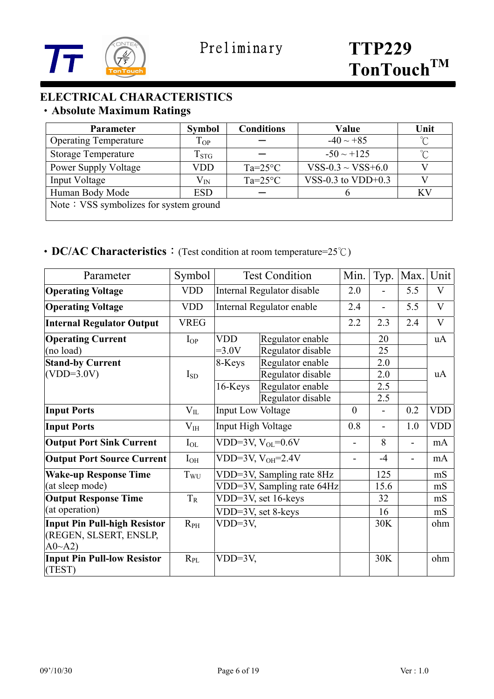

# **ELECTRICAL CHARACTERISTICS**  ‧**Absolute Maximum Ratings**

| <b>Parameter</b>                       | <b>Symbol</b> | <b>Conditions</b> | Value                  | Unit         |  |  |
|----------------------------------------|---------------|-------------------|------------------------|--------------|--|--|
| <b>Operating Temperature</b>           | $T_{OP}$      |                   | $-40 \sim +85$         | $^{\circ}$ C |  |  |
| <b>Storage Temperature</b>             | $T_{\rm STG}$ |                   | $-50 \sim +125$        | n°           |  |  |
| <b>Power Supply Voltage</b>            | VDD           | $Ta=25^{\circ}C$  | $VSS-0.3 \sim VSS+6.0$ |              |  |  |
| Input Voltage                          | $\rm V_{IN}$  | $Ta=25^{\circ}C$  | VSS-0.3 to $VDD+0.3$   |              |  |  |
| Human Body Mode                        | <b>ESD</b>    |                   |                        | KV           |  |  |
| Note: VSS symbolizes for system ground |               |                   |                        |              |  |  |

# ‧**DC/AC Characteristics**:(Test condition at room temperature=25℃)

| Parameter                                                               | Symbol      |                          | <b>Test Condition</b>                                      | Min.                     | Typ.              | Max. | Unit         |
|-------------------------------------------------------------------------|-------------|--------------------------|------------------------------------------------------------|--------------------------|-------------------|------|--------------|
| <b>Operating Voltage</b>                                                | <b>VDD</b>  |                          | Internal Regulator disable                                 | 2.0                      |                   | 5.5  | $\mathbf{V}$ |
| <b>Operating Voltage</b>                                                | <b>VDD</b>  |                          | Internal Regulator enable                                  | 2.4                      | $\overline{a}$    | 5.5  | $\mathbf{V}$ |
| <b>Internal Regulator Output</b>                                        | <b>VREG</b> |                          |                                                            | 2.2                      | 2.3               | 2.4  | V            |
| <b>Operating Current</b><br>(no load)                                   | $I_{OP}$    | <b>VDD</b><br>$=3.0V$    | Regulator enable<br>Regulator disable                      |                          | 20<br>25          |      | <b>uA</b>    |
| <b>Stand-by Current</b>                                                 |             | 8-Keys                   | Regulator enable                                           |                          | 2.0               |      |              |
| $(VDD=3.0V)$                                                            | $I_{SD}$    | 16-Keys                  | Regulator disable<br>Regulator enable<br>Regulator disable |                          | 2.0<br>2.5<br>2.5 |      | uA           |
| <b>Input Ports</b>                                                      | $V_{IL}$    | <b>Input Low Voltage</b> |                                                            | $\theta$                 |                   | 0.2  | <b>VDD</b>   |
| <b>Input Ports</b>                                                      | $V_{IH}$    | Input High Voltage       |                                                            | 0.8                      | $\blacksquare$    | 1.0  | <b>VDD</b>   |
| <b>Output Port Sink Current</b>                                         | $I_{OL}$    |                          | VDD=3V, $V_{OL}$ =0.6V                                     | -                        | 8                 | -    | mA           |
| <b>Output Port Source Current</b>                                       | $I_{OH}$    |                          | VDD=3V, $V_{OH}$ =2.4V                                     | $\overline{\phantom{0}}$ | $-4$              | ۰    | mA           |
| <b>Wake-up Response Time</b><br>(at sleep mode)                         | $T_{WU}$    |                          | VDD=3V, Sampling rate 8Hz<br>VDD=3V, Sampling rate 64Hz    |                          | 125<br>15.6       |      | mS<br>mS     |
| <b>Output Response Time</b>                                             | $T_{\rm R}$ |                          | VDD=3V, set 16-keys                                        |                          | 32                |      | mS           |
| (at operation)                                                          |             |                          | VDD=3V, set 8-keys                                         |                          | 16                |      | mS           |
| <b>Input Pin Pull-high Resistor</b><br>(REGEN, SLSERT, ENSLP,<br>A0~A2) | $R_{PH}$    | $VDD=3V,$                |                                                            |                          | 30K               |      | ohm          |
| <b>Input Pin Pull-low Resistor</b><br>(TEST)                            | $R_{PL}$    | $VDD=3V,$                |                                                            |                          | 30K               |      | ohm          |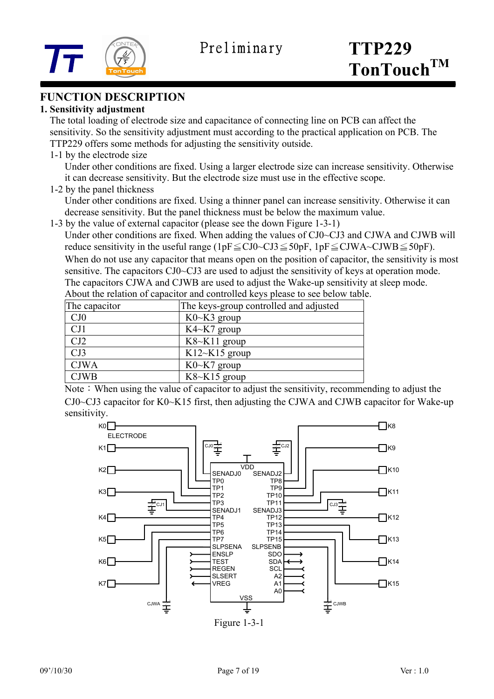



## **FUNCTION DESCRIPTION**

#### **1. Sensitivity adjustment**

 The total loading of electrode size and capacitance of connecting line on PCB can affect the sensitivity. So the sensitivity adjustment must according to the practical application on PCB. The TTP229 offers some methods for adjusting the sensitivity outside.

1-1 by the electrode size

Under other conditions are fixed. Using a larger electrode size can increase sensitivity. Otherwise it can decrease sensitivity. But the electrode size must use in the effective scope.

1-2 by the panel thickness

Under other conditions are fixed. Using a thinner panel can increase sensitivity. Otherwise it can decrease sensitivity. But the panel thickness must be below the maximum value.

1-3 by the value of external capacitor (please see the down Figure 1-3-1)

Under other conditions are fixed. When adding the values of CJ0~CJ3 and CJWA and CJWB will reduce sensitivity in the useful range (1pF $\leq$ CJ0~CJ3 $\leq$ 50pF, 1pF $\leq$ CJWA~CJWB $\leq$ 50pF). When do not use any capacitor that means open on the position of capacitor, the sensitivity is most sensitive. The capacitors CJ0~CJ3 are used to adjust the sensitivity of keys at operation mode. The capacitors CJWA and CJWB are used to adjust the Wake-up sensitivity at sleep mode.

About the relation of capacitor and controlled keys please to see below table.

| The capacitor | The keys-group controlled and adjusted |
|---------------|----------------------------------------|
| CJ0           | $K0\nthicksim K3$ group                |
| CJ1           | $K4~K7$ group                          |
| CJ2           | $K8~K11$ group                         |
| CJ3           | $K12 \sim K15$ group                   |
| <b>CJWA</b>   | $K0\nthicksim K7$ group                |
| <b>CJWB</b>   | $K8~K15$ group                         |

Note: When using the value of capacitor to adjust the sensitivity, recommending to adjust the CJ0~CJ3 capacitor for K0~K15 first, then adjusting the CJWA and CJWB capacitor for Wake-up sensitivity.

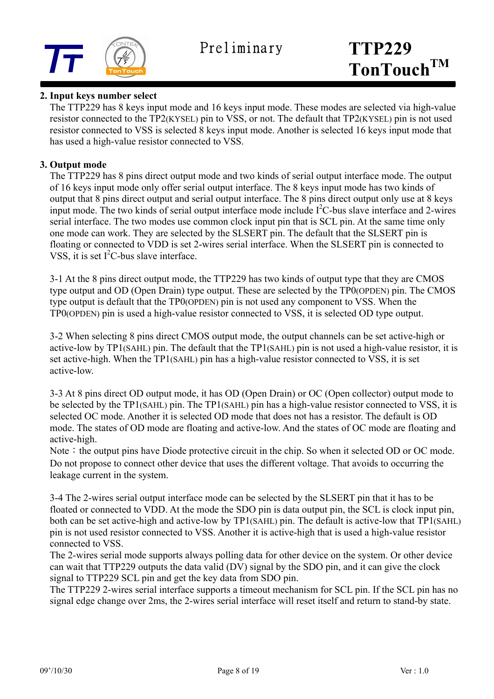

#### **2. Input keys number select**

 The TTP229 has 8 keys input mode and 16 keys input mode. These modes are selected via high-value resistor connected to the TP2(KYSEL) pin to VSS, or not. The default that TP2(KYSEL) pin is not used resistor connected to VSS is selected 8 keys input mode. Another is selected 16 keys input mode that has used a high-value resistor connected to VSS.

#### **3. Output mode**

 The TTP229 has 8 pins direct output mode and two kinds of serial output interface mode. The output of 16 keys input mode only offer serial output interface. The 8 keys input mode has two kinds of output that 8 pins direct output and serial output interface. The 8 pins direct output only use at 8 keys input mode. The two kinds of serial output interface mode include  $I<sup>2</sup>C$ -bus slave interface and 2-wires serial interface. The two modes use common clock input pin that is SCL pin. At the same time only one mode can work. They are selected by the SLSERT pin. The default that the SLSERT pin is floating or connected to VDD is set 2-wires serial interface. When the SLSERT pin is connected to VSS, it is set  $I<sup>2</sup>C$ -bus slave interface.

 3-1 At the 8 pins direct output mode, the TTP229 has two kinds of output type that they are CMOS type output and OD (Open Drain) type output. These are selected by the TP0(OPDEN) pin. The CMOS type output is default that the TP0(OPDEN) pin is not used any component to VSS. When the TP0(OPDEN) pin is used a high-value resistor connected to VSS, it is selected OD type output.

 3-2 When selecting 8 pins direct CMOS output mode, the output channels can be set active-high or active-low by TP1(SAHL) pin. The default that the TP1(SAHL) pin is not used a high-value resistor, it is set active-high. When the TP1(SAHL) pin has a high-value resistor connected to VSS, it is set active-low.

 3-3 At 8 pins direct OD output mode, it has OD (Open Drain) or OC (Open collector) output mode to be selected by the TP1(SAHL) pin. The TP1(SAHL) pin has a high-value resistor connected to VSS, it is selected OC mode. Another it is selected OD mode that does not has a resistor. The default is OD mode. The states of OD mode are floating and active-low. And the states of OC mode are floating and active-high.

Note: the output pins have Diode protective circuit in the chip. So when it selected OD or OC mode. Do not propose to connect other device that uses the different voltage. That avoids to occurring the leakage current in the system.

 3-4 The 2-wires serial output interface mode can be selected by the SLSERT pin that it has to be floated or connected to VDD. At the mode the SDO pin is data output pin, the SCL is clock input pin, both can be set active-high and active-low by TP1(SAHL) pin. The default is active-low that TP1(SAHL) pin is not used resistor connected to VSS. Another it is active-high that is used a high-value resistor connected to VSS.

The 2-wires serial mode supports always polling data for other device on the system. Or other device can wait that TTP229 outputs the data valid (DV) signal by the SDO pin, and it can give the clock signal to TTP229 SCL pin and get the key data from SDO pin.

 The TTP229 2-wires serial interface supports a timeout mechanism for SCL pin. If the SCL pin has no signal edge change over 2ms, the 2-wires serial interface will reset itself and return to stand-by state.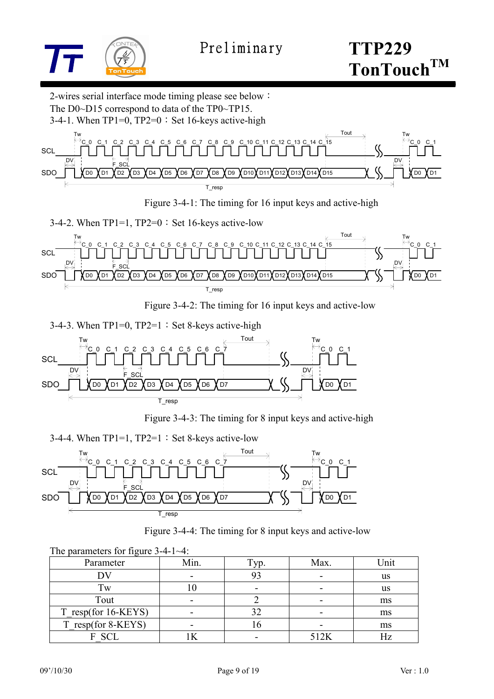

**TonTouchTM**

2-wires serial interface mode timing please see below: The D0~D15 correspond to data of the TP0~TP15.

3-4-1. When  $TP1=0$ ,  $TP2=0$ : Set 16-keys active-high



Figure 3-4-1: The timing for 16 input keys and active-high

3-4-2. When  $TP1=1$ ,  $TP2=0$ : Set 16-keys active-low



Figure 3-4-2: The timing for 16 input keys and active-low

3-4-3. When  $TP1=0$ ,  $TP2=1$ : Set 8-keys active-high Twitted the contraction of  $\overline{\mathcal{C}}$  and  $\overline{\mathcal{C}}$  and  $\overline{\mathcal{C}}$  and  $\overline{\mathcal{C}}$  and  $\overline{\mathcal{C}}$  and  $\overline{\mathcal{C}}$  and  $\overline{\mathcal{C}}$  and  $\overline{\mathcal{C}}$  and  $\overline{\mathcal{C}}$  and  $\overline{\mathcal{C}}$  and  $\overline{\mathcal{C}}$  and  $\overline{\mathcal{C}}$  and  $\$ T\_resp DV DO **X** D1 C\_0 C\_1 DV SDO **SCL**  $S<sub>C</sub>$ DO **Y** D<sub>1</sub> 0 C 1 C 2 D2 XD3 XD4 XD5 XD6 XD7 C 3 C 4 C 5 C 6 C

Figure 3-4-3: The timing for 8 input keys and active-high

3-4-4. When  $TP1=1$ ,  $TP2=1$ : Set 8-keys active-low



|  | Figure 3-4-4: The timing for 8 input keys and active-low |  |
|--|----------------------------------------------------------|--|
|  |                                                          |  |

| The parameters for figure $3-4-1-4$ : |      |      |      |      |
|---------------------------------------|------|------|------|------|
| Parameter                             | Min. | Гyр. | Max. | Unit |
|                                       |      | 93   |      | us   |
| Tw                                    |      |      |      | us   |
| Tout                                  |      |      |      | ms   |
| T_resp(for 16-KEYS)                   |      | 32   |      | ms   |
| T resp(for 8-KEYS)                    |      |      |      | ms   |
| SCL.                                  |      |      | 512K |      |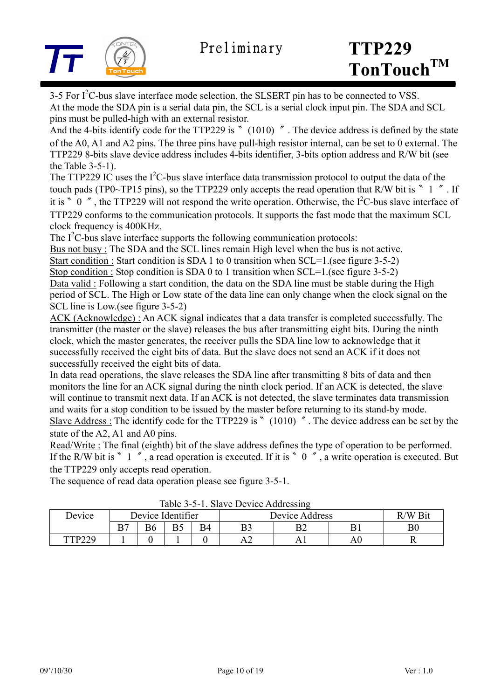

3-5 For  $I^2C$ -bus slave interface mode selection, the SLSERT pin has to be connected to VSS. At the mode the SDA pin is a serial data pin, the SCL is a serial clock input pin. The SDA and SCL pins must be pulled-high with an external resistor.

And the 4-bits identify code for the TTP229 is 〝 (1010) ″. The device address is defined by the state of the A0, A1 and A2 pins. The three pins have pull-high resistor internal, can be set to 0 external. The TTP229 8-bits slave device address includes 4-bits identifier, 3-bits option address and R/W bit (see the Table 3-5-1).

The TTP229 IC uses the  $I^2C$ -bus slave interface data transmission protocol to output the data of the touch pads (TP0~TP15 pins), so the TTP229 only accepts the read operation that R/W bit is  $\degree$  1  $\degree$ . If it is  $\degree$  0  $\degree$ , the TTP229 will not respond the write operation. Otherwise, the I<sup>2</sup>C-bus slave interface of TTP229 conforms to the communication protocols. It supports the fast mode that the maximum SCL clock frequency is 400KHz.

The  $I<sup>2</sup>C$ -bus slave interface supports the following communication protocols:

Bus not busy : The SDA and the SCL lines remain High level when the bus is not active. Start condition : Start condition is SDA 1 to 0 transition when SCL=1.(see figure 3-5-2) Stop condition : Stop condition is SDA 0 to 1 transition when SCL=1.(see figure 3-5-2) Data valid : Following a start condition, the data on the SDA line must be stable during the High period of SCL. The High or Low state of the data line can only change when the clock signal on the SCL line is Low.(see figure 3-5-2)

ACK (Acknowledge) : An ACK signal indicates that a data transfer is completed successfully. The transmitter (the master or the slave) releases the bus after transmitting eight bits. During the ninth clock, which the master generates, the receiver pulls the SDA line low to acknowledge that it successfully received the eight bits of data. But the slave does not send an ACK if it does not successfully received the eight bits of data.

In data read operations, the slave releases the SDA line after transmitting 8 bits of data and then monitors the line for an ACK signal during the ninth clock period. If an ACK is detected, the slave will continue to transmit next data. If an ACK is not detected, the slave terminates data transmission and waits for a stop condition to be issued by the master before returning to its stand-by mode. Slave Address : The identify code for the TTP229 is 〝 (1010) ″. The device address can be set by the state of the A2, A1 and A0 pins.

Read/Write : The final (eighth) bit of the slave address defines the type of operation to be performed. If the R/W bit is 〝 1 », a read operation is executed. If it is 〝 0  $\degree$ , a write operation is executed. But the TTP229 only accepts read operation.

The sequence of read data operation please see figure 3-5-1.

| Table 3-3-1. Stave Device Addressing |                   |  |    |    |                |         |    |  |
|--------------------------------------|-------------------|--|----|----|----------------|---------|----|--|
| Device                               | Device Identifier |  |    |    | Device Address | R/W Bit |    |  |
|                                      | B7                |  | Dς | B4 |                | ◡       |    |  |
| TTP220                               |                   |  |    |    |                |         | Aί |  |

Table 3-5-1. Slave Device Addressing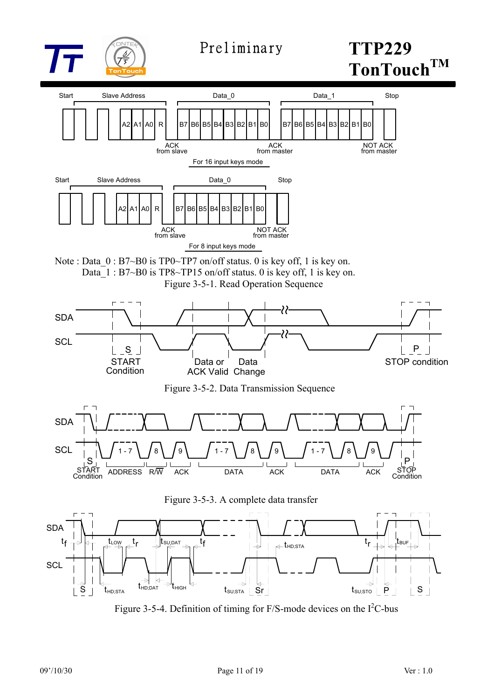

# **TonTouchTM**



Figure 3-5-4. Definition of timing for  $F/S$ -mode devices on the  $I<sup>2</sup>C$ -bus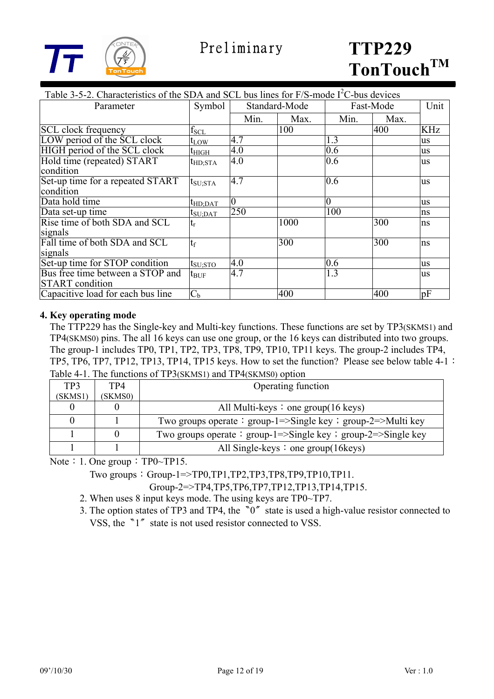

| Table 3-5-2. Characteristics of the SDA and SCL bus lines for $F/S$ -mode $I2C$ -bus devices |                  |               |      |                |      |           |
|----------------------------------------------------------------------------------------------|------------------|---------------|------|----------------|------|-----------|
| Parameter                                                                                    | Symbol           | Standard-Mode |      | Fast-Mode      |      | Unit      |
|                                                                                              |                  | Min.          | Max. | Min.           | Max. |           |
| <b>SCL</b> clock frequency                                                                   | $f_{SCL}$        |               | 100  |                | 400  | KHz       |
| LOW period of the SCL clock                                                                  | $t_{LOW}$        | 4.7           |      | 1.3            |      | <b>us</b> |
| HIGH period of the SCL clock                                                                 | $t_{\rm HIGH}$   | 4.0           |      | 0.6            |      | us        |
| Hold time (repeated) START                                                                   | $t_{HD;STA}$     | 4.0           |      | 0.6            |      | us        |
| condition                                                                                    |                  |               |      |                |      |           |
| Set-up time for a repeated START                                                             | $t_{\rm SU;STA}$ | 4.7           |      | 0.6            |      | us        |
| condition                                                                                    |                  |               |      |                |      |           |
| Data hold time                                                                               | $t_{HD;DAT}$     | $\theta$      |      | $\overline{0}$ |      | us        |
| Data set-up time                                                                             | $t_{\rm SU;DAT}$ | 250           |      | 100            |      | ns        |
| Rise time of both SDA and SCL                                                                | $t_{\rm r}$      |               | 1000 |                | 300  | ns        |
| signals                                                                                      |                  |               |      |                |      |           |
| Fall time of both SDA and SCL                                                                | $t_f$            |               | 300  |                | 300  | ns        |
| signals                                                                                      |                  |               |      |                |      |           |
| Set-up time for STOP condition                                                               | $t_{\rm SU;STO}$ | 4.0           |      | 0.6            |      | us        |
| Bus free time between a STOP and                                                             | $t_{\text{BUF}}$ | 4.7           |      | 1.3            |      | us        |
| <b>START</b> condition                                                                       |                  |               |      |                |      |           |
| Capacitive load for each bus line                                                            | C <sub>b</sub>   |               | 400  |                | 400  | pF        |

#### **4. Key operating mode**

 The TTP229 has the Single-key and Multi-key functions. These functions are set by TP3(SKMS1) and TP4(SKMS0) pins. The all 16 keys can use one group, or the 16 keys can distributed into two groups. The group-1 includes TP0, TP1, TP2, TP3, TP8, TP9, TP10, TP11 keys. The group-2 includes TP4, TP5, TP6, TP7, TP12, TP13, TP14, TP15 keys. How to set the function? Please see below table 4-1: Table 4-1. The functions of TP3(SKMS1) and TP4(SKMS0) option

| TP3     | TP4     | Operating function                                            |
|---------|---------|---------------------------------------------------------------|
| (SKMS1) | (SKMS0) |                                                               |
|         |         | All Multi-keys $\colon$ one group(16 keys)                    |
|         |         | Two groups operate : group-1=>Single key : group-2=>Multi key |
|         |         | Two groups operate: group-1=>Single key ; group-2=>Single key |
|         |         | All Single-keys $\colon$ one group(16keys)                    |

Note: 1. One group: TP0~TP15.

Two groups:  $Group-1=\text{TP0},TP1,TP2,TP3,TP8,TP9,TP10,TP11.$ 

Group-2=>TP4,TP5,TP6,TP7,TP12,TP13,TP14,TP15.

- 2. When uses 8 input keys mode. The using keys are TP0~TP7.
- 3. The option states of TP3 and TP4, the  $\degree$ 0<sup> $\degree$ </sup> state is used a high-value resistor connected to

VSS, the <sup>n</sup><sup>1</sup><sup>*s*</sup> state is not used resistor connected to VSS.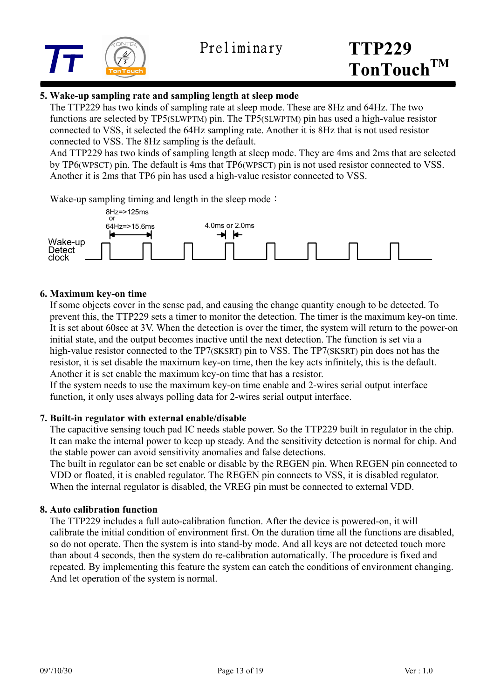

#### **5. Wake-up sampling rate and sampling length at sleep mode**

The TTP229 has two kinds of sampling rate at sleep mode. These are 8Hz and 64Hz. The two functions are selected by TP5(SLWPTM) pin. The TP5(SLWPTM) pin has used a high-value resistor connected to VSS, it selected the 64Hz sampling rate. Another it is 8Hz that is not used resistor connected to VSS. The 8Hz sampling is the default.

 And TTP229 has two kinds of sampling length at sleep mode. They are 4ms and 2ms that are selected by TP6(WPSCT) pin. The default is 4ms that TP6(WPSCT) pin is not used resistor connected to VSS. Another it is 2ms that TP6 pin has used a high-value resistor connected to VSS.

Wake-up sampling timing and length in the sleep mode:



#### **6. Maximum key-on time**

If some objects cover in the sense pad, and causing the change quantity enough to be detected. To prevent this, the TTP229 sets a timer to monitor the detection. The timer is the maximum key-on time. It is set about 60sec at 3V. When the detection is over the timer, the system will return to the power-on initial state, and the output becomes inactive until the next detection. The function is set via a high-value resistor connected to the TP7(SKSRT) pin to VSS. The TP7(SKSRT) pin does not has the resistor, it is set disable the maximum key-on time, then the key acts infinitely, this is the default. Another it is set enable the maximum key-on time that has a resistor.

If the system needs to use the maximum key-on time enable and 2-wires serial output interface function, it only uses always polling data for 2-wires serial output interface.

#### **7. Built-in regulator with external enable/disable**

The capacitive sensing touch pad IC needs stable power. So the TTP229 built in regulator in the chip. It can make the internal power to keep up steady. And the sensitivity detection is normal for chip. And the stable power can avoid sensitivity anomalies and false detections.

The built in regulator can be set enable or disable by the REGEN pin. When REGEN pin connected to VDD or floated, it is enabled regulator. The REGEN pin connects to VSS, it is disabled regulator. When the internal regulator is disabled, the VREG pin must be connected to external VDD.

#### **8. Auto calibration function**

The TTP229 includes a full auto-calibration function. After the device is powered-on, it will calibrate the initial condition of environment first. On the duration time all the functions are disabled, so do not operate. Then the system is into stand-by mode. And all keys are not detected touch more than about 4 seconds, then the system do re-calibration automatically. The procedure is fixed and repeated. By implementing this feature the system can catch the conditions of environment changing. And let operation of the system is normal.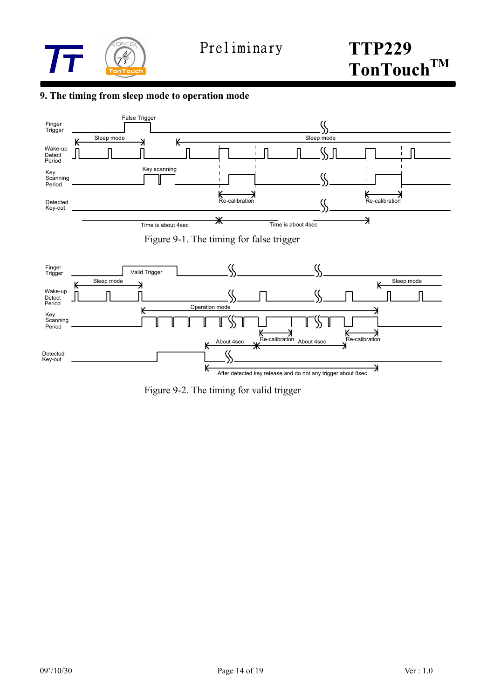

#### **9. The timing from sleep mode to operation mode**



Figure 9-2. The timing for valid trigger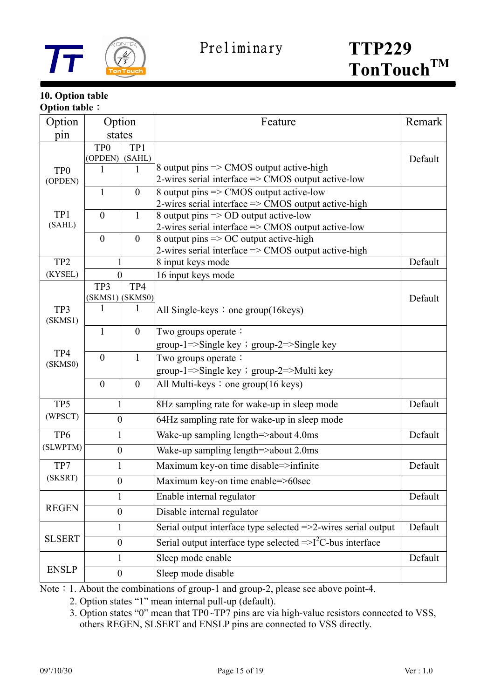

#### **10. Option table Option table**:

| Option                       | Option                         |                        | Feature                                                                   | Remark  |
|------------------------------|--------------------------------|------------------------|---------------------------------------------------------------------------|---------|
| pin                          | states                         |                        |                                                                           |         |
|                              | TP <sub>0</sub>                | TP1                    |                                                                           | Default |
|                              | (OPDEN)<br>(SAHL)<br>1         |                        | 8 output pins $\Rightarrow$ CMOS output active-high                       |         |
| TP <sub>0</sub><br>(OPDEN)   | 1                              |                        | 2-wires serial interface $\Rightarrow$ CMOS output active-low             |         |
|                              | $\mathbf{1}$<br>$\overline{0}$ |                        | 8 output pins => CMOS output active-low                                   |         |
|                              |                                |                        | 2-wires serial interface $\Rightarrow$ CMOS output active-high            |         |
| TP1                          | $\theta$                       | $\mathbf{1}$           | 8 output pins => OD output active-low                                     |         |
| (SAHL)                       |                                |                        | 2-wires serial interface => CMOS output active-low                        |         |
|                              | $\overline{0}$                 | $\overline{0}$         | 8 output pins $\Rightarrow$ OC output active-high                         |         |
|                              |                                |                        | 2-wires serial interface => CMOS output active-high                       |         |
| TP <sub>2</sub>              | 1                              |                        | 8 input keys mode                                                         | Default |
| (KYSEL)                      | $\theta$                       |                        | 16 input keys mode                                                        |         |
|                              | TP3                            | TP4<br>(SKMS1) (SKMS0) |                                                                           | Default |
| TP3                          | 1                              | $\mathbf{1}$           | All Single-keys $:$ one group(16 keys)                                    |         |
| (SKMS1)                      |                                |                        |                                                                           |         |
|                              | $\mathbf{1}$                   | $\boldsymbol{0}$       | Two groups operate:                                                       |         |
| TP4<br>(SKMS0)               |                                |                        | group-1=>Single key ; group-2=>Single key                                 |         |
|                              | $\boldsymbol{0}$               | $\mathbf{1}$           | Two groups operate:                                                       |         |
|                              |                                |                        | group-1=>Single key ; group-2=>Multi key                                  |         |
|                              | $\boldsymbol{0}$               | $\boldsymbol{0}$       | All Multi-keys : one group $(16 \text{ keys})$                            |         |
| TP <sub>5</sub>              | 1<br>$\boldsymbol{0}$          |                        | 8Hz sampling rate for wake-up in sleep mode                               | Default |
| (WPSCT)                      |                                |                        | 64Hz sampling rate for wake-up in sleep mode                              |         |
| TP <sub>6</sub>              | $\mathbf{1}$                   |                        | Wake-up sampling length=>about 4.0ms                                      | Default |
| (SLWPTM)<br>$\boldsymbol{0}$ |                                |                        | Wake-up sampling length=>about 2.0ms                                      |         |
| TP7                          | $\mathbf{1}$                   |                        | Maximum key-on time disable=>infinite                                     | Default |
| (SKSRT)                      | $\mathbf{0}$                   |                        | Maximum key-on time enable=>60sec                                         |         |
| <b>REGEN</b>                 | 1                              |                        | Enable internal regulator                                                 | Default |
|                              | $\boldsymbol{0}$               |                        | Disable internal regulator                                                |         |
| <b>SLSERT</b>                | $\mathbf{1}$                   |                        | Serial output interface type selected $\Rightarrow$ 2-wires serial output | Default |
|                              | $\boldsymbol{0}$               |                        | Serial output interface type selected $\Rightarrow$ $I^2C$ -bus interface |         |
|                              | 1                              |                        | Sleep mode enable                                                         | Default |
| <b>ENSLP</b>                 | $\boldsymbol{0}$               |                        | Sleep mode disable                                                        |         |

Note: 1. About the combinations of group-1 and group-2, please see above point-4.

2. Option states "1" mean internal pull-up (default).

 3. Option states "0" mean that TP0~TP7 pins are via high-value resistors connected to VSS, others REGEN, SLSERT and ENSLP pins are connected to VSS directly.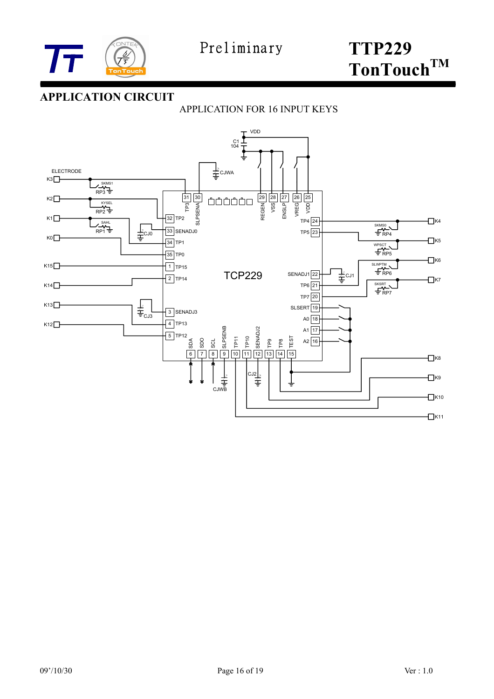

# **APPLICATION CIRCUIT**

## APPLICATION FOR 16 INPUT KEYS

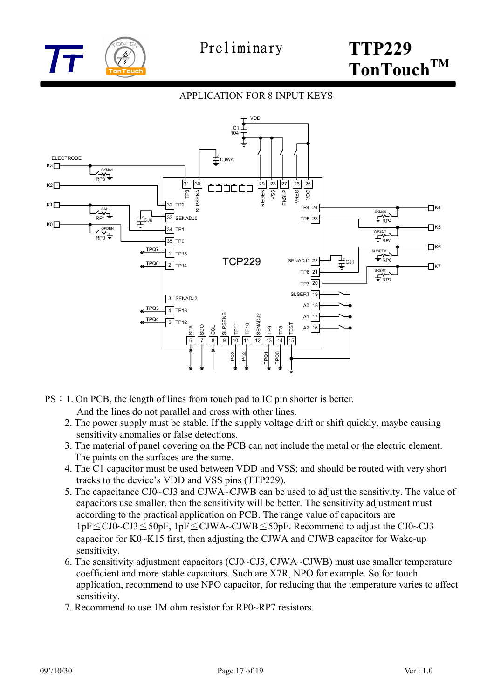

#### APPLICATION FOR 8 INPUT KEYS



- PS:1. On PCB, the length of lines from touch pad to IC pin shorter is better. And the lines do not parallel and cross with other lines.
	- 2. The power supply must be stable. If the supply voltage drift or shift quickly, maybe causing sensitivity anomalies or false detections.
	- 3. The material of panel covering on the PCB can not include the metal or the electric element. The paints on the surfaces are the same.
	- 4. The C1 capacitor must be used between VDD and VSS; and should be routed with very short tracks to the device's VDD and VSS pins (TTP229).
	- 5. The capacitance CJ0~CJ3 and CJWA~CJWB can be used to adjust the sensitivity. The value of capacitors use smaller, then the sensitivity will be better. The sensitivity adjustment must according to the practical application on PCB. The range value of capacitors are 1pF≦CJ0~CJ3≦50pF, 1pF≦CJWA~CJWB≦50pF. Recommend to adjust the CJ0~CJ3 capacitor for K0~K15 first, then adjusting the CJWA and CJWB capacitor for Wake-up sensitivity.
	- 6. The sensitivity adjustment capacitors (CJ0~CJ3, CJWA~CJWB) must use smaller temperature coefficient and more stable capacitors. Such are X7R, NPO for example. So for touch application, recommend to use NPO capacitor, for reducing that the temperature varies to affect sensitivity.
	- 7. Recommend to use 1M ohm resistor for RP0~RP7 resistors.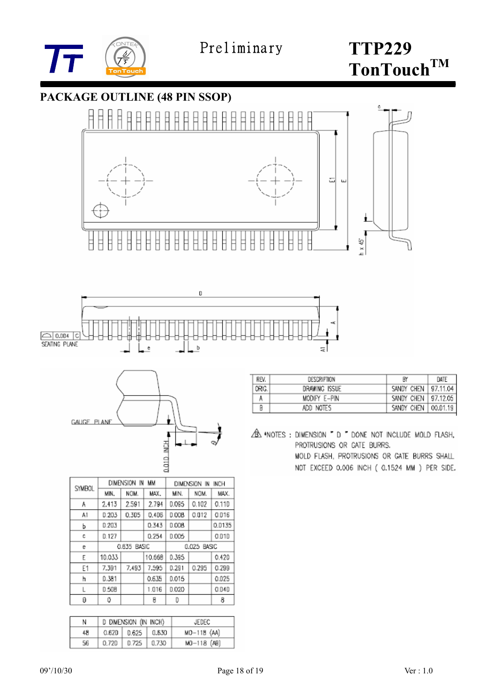







| SYMBOL | DIMENSION IN<br>MМ |       |        | DIMENSION IN<br><b>INCH</b> |       |        |
|--------|--------------------|-------|--------|-----------------------------|-------|--------|
|        | MIN.               | NOM.  | MAX.   | MIN.                        | NOM.  | MAX.   |
| Α      | 2.413              | 2.591 | 2.794  | D.095                       | 0.102 | 0.110  |
| A1     | 0.203              | 0.305 | 0.406  | <b>D.008</b>                | 0.012 | 0.016  |
| Ь      | D.203              |       | 0.343  | <b>D.008</b>                |       | Q.D135 |
| c      | 0.127              |       | 0.254  | 0.005                       |       | 0.010  |
| e      | 0.635 BASIC        |       |        | 0.025 BASIC                 |       |        |
| E      | 10.033             |       | 10.668 | 0.395                       |       | 0.420  |
| F1     | 7.391              | 7.493 | 7.595  | 0.291                       | 0.295 | 0.299  |
| h      | 0.381              |       | 0.635  | D.015                       |       | 0.025  |
| L      | 0.508              |       | 1.016  | D.020                       |       | 0.040  |
| θ      | 0                  |       | 8      | D                           |       | 8      |

| N  | D DIMENSION (IN INCH) |                        |       | JEDEC           |  |
|----|-----------------------|------------------------|-------|-----------------|--|
| 48 | 0.62D                 | $0.625$ $\mid$ $0.530$ |       | $MD-118$ $(AA)$ |  |
| 56 | 0.720                 | 0.725                  | 0.730 | MO-118 (AB)     |  |

| REV.  | DESCRIPTION   | <b>RY</b>             | DATE |
|-------|---------------|-----------------------|------|
| ORIG. | DRAWING ISSUE | SANDY CHEN   97,11.04 |      |
|       | MODIFY E-PIN  | SANDY CHEN   97,12.05 |      |
| B     | ado notes     | SANDY CHEN   00.01.19 |      |

A \*NOTES: DIMENSION " D " DONE NOT INCLUDE MOLD FLASH, PROTRUSIONS OR GATE BURRS. MOLD FLASH, PROTRUSIONS OR GATE BURRS SHALL NOT EXCEED 0.006 INCH ( 0.1524 MM ) PER SIDE.